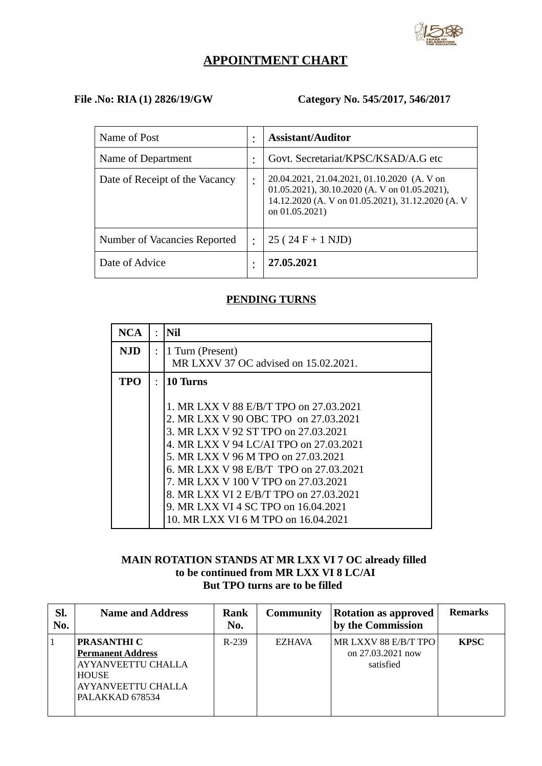

# **APPOINTMENT CHART**

# **File .No: RIA (1) 2826/19/GW Category No. 545/2017, 546/2017**

| Name of Post                   |   | <b>Assistant/Auditor</b>                                                                                                                                            |
|--------------------------------|---|---------------------------------------------------------------------------------------------------------------------------------------------------------------------|
| Name of Department             |   | Govt. Secretariat/KPSC/KSAD/A.G etc                                                                                                                                 |
| Date of Receipt of the Vacancy |   | 20.04.2021, 21.04.2021, 01.10.2020 (A. V on<br>01.05.2021), 30.10.2020 (A. V on 01.05.2021),<br>14.12.2020 (A. V on 01.05.2021), 31.12.2020 (A. V<br>on 01.05.2021) |
| Number of Vacancies Reported   | ٠ | $25(24 F + 1 NJD)$                                                                                                                                                  |
| Date of Advice                 | ٠ | 27.05.2021                                                                                                                                                          |

### **PENDING TURNS**

| NCA | $\ddot{\cdot}$ | <b>Nil</b>                                                                                                                                                                                                                                                                                                                                                                          |
|-----|----------------|-------------------------------------------------------------------------------------------------------------------------------------------------------------------------------------------------------------------------------------------------------------------------------------------------------------------------------------------------------------------------------------|
| NJD | $\ddot{\cdot}$ | 1 Turn (Present)<br>MR LXXV 37 OC advised on 15.02.2021.                                                                                                                                                                                                                                                                                                                            |
| TPO | $\bullet$      | 10 Turns<br>1. MR LXX V 88 E/B/T TPO on 27.03.2021<br>2. MR LXX V 90 OBC TPO on 27.03.2021<br>3. MR LXX V 92 ST TPO on 27.03.2021<br>4. MR LXX V 94 LC/AI TPO on 27.03.2021<br>5. MR LXX V 96 M TPO on 27,03,2021<br>6. MR LXX V 98 E/B/T TPO on 27.03.2021<br>7. MR LXX V 100 V TPO on 27.03.2021<br>8. MR LXX VI 2 E/B/T TPO on 27.03.2021<br>9. MR LXX VI 4 SC TPO on 16.04.2021 |
|     |                | 10. MR LXX VI 6 M TPO on 16.04.2021                                                                                                                                                                                                                                                                                                                                                 |

# **MAIN ROTATION STANDS AT MR LXX VI 7 OC already filled to be continued from MR LXX VI 8 LC/AI But TPO turns are to be filled**

| SI.<br>No. | <b>Name and Address</b>                                                                                                                     | <b>Rank</b><br>No. | <b>Community</b> | <b>Rotation as approved</b><br>by the Commission       | <b>Remarks</b> |
|------------|---------------------------------------------------------------------------------------------------------------------------------------------|--------------------|------------------|--------------------------------------------------------|----------------|
|            | <b>PRASANTHI C</b><br><b>Permanent Address</b><br><b>AYYANVEETTU CHALLA</b><br><b>HOUSE</b><br><b>AYYANVEETTU CHALLA</b><br>PALAKKAD 678534 | R-239              | <b>EZHAVA</b>    | MR LXXV 88 E/B/T TPO<br>on 27.03.2021 now<br>satisfied | <b>KPSC</b>    |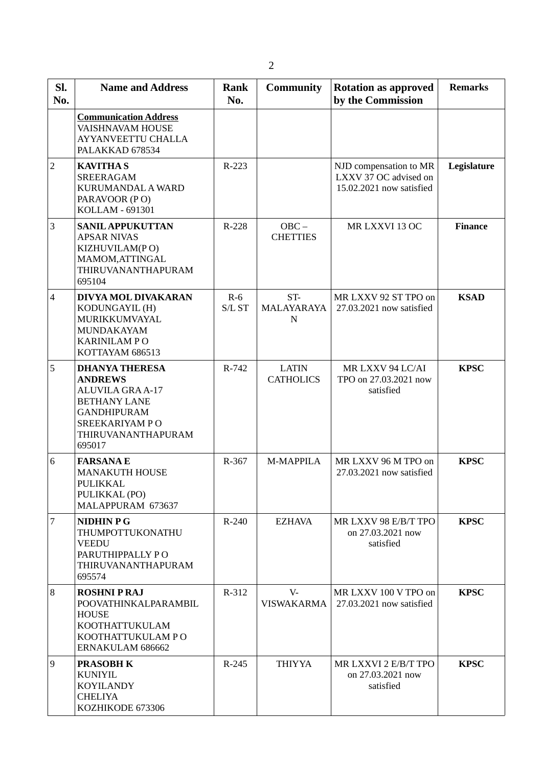| SI.<br>No.     | <b>Name and Address</b>                                                                                                                                           | <b>Rank</b><br>No.                                    | <b>Community</b>                 | <b>Rotation as approved</b><br>by the Commission                            | <b>Remarks</b> |
|----------------|-------------------------------------------------------------------------------------------------------------------------------------------------------------------|-------------------------------------------------------|----------------------------------|-----------------------------------------------------------------------------|----------------|
|                | <b>Communication Address</b><br><b>VAISHNAVAM HOUSE</b><br><b>AYYANVEETTU CHALLA</b><br>PALAKKAD 678534                                                           |                                                       |                                  |                                                                             |                |
| $\overline{2}$ | <b>KAVITHAS</b><br><b>SREERAGAM</b><br>KURUMANDAL A WARD<br>PARAVOOR (PO)<br>KOLLAM - 691301                                                                      | R-223                                                 |                                  | NJD compensation to MR<br>LXXV 37 OC advised on<br>15.02.2021 now satisfied | Legislature    |
| 3              | <b>SANIL APPUKUTTAN</b><br><b>APSAR NIVAS</b><br>KIZHUVILAM(PO)<br>MAMOM, ATTINGAL<br>THIRUVANANTHAPURAM<br>695104                                                | R-228<br>$OBC -$<br>MR LXXVI 13 OC<br><b>CHETTIES</b> |                                  | <b>Finance</b>                                                              |                |
| $\overline{4}$ | DIVYA MOL DIVAKARAN<br>KODUNGAYIL (H)<br>MURIKKUMVAYAL<br>MUNDAKAYAM<br><b>KARINILAMPO</b><br>KOTTAYAM 686513                                                     | $R-6$<br>$S/L$ $ST$                                   | ST-<br>MALAYARAYA<br>$\mathbf N$ | MR LXXV 92 ST TPO on<br>27.03.2021 now satisfied                            | <b>KSAD</b>    |
| 5              | <b>DHANYA THERESA</b><br><b>ANDREWS</b><br><b>ALUVILA GRA A-17</b><br><b>BETHANY LANE</b><br><b>GANDHIPURAM</b><br>SREEKARIYAM PO<br>THIRUVANANTHAPURAM<br>695017 | R-742                                                 | <b>LATIN</b><br><b>CATHOLICS</b> | MR LXXV 94 LC/AI<br>TPO on 27.03.2021 now<br>satisfied                      | <b>KPSC</b>    |
| 6              | <b>FARSANAE</b><br><b>MANAKUTH HOUSE</b><br>PULIKKAL<br>PULIKKAL (PO)<br>MALAPPURAM 673637                                                                        | R-367                                                 | M-MAPPILA                        | MR LXXV 96 M TPO on<br>27.03.2021 now satisfied                             | <b>KPSC</b>    |
| $\overline{7}$ | <b>NIDHIN P G</b><br>THUMPOTTUKONATHU<br><b>VEEDU</b><br>PARUTHIPPALLY PO<br>THIRUVANANTHAPURAM<br>695574                                                         | $R - 240$                                             | <b>EZHAVA</b>                    | MR LXXV 98 E/B/T TPO<br>on 27.03.2021 now<br>satisfied                      | <b>KPSC</b>    |
| 8              | <b>ROSHNI P RAJ</b><br>POOVATHINKALPARAMBIL<br><b>HOUSE</b><br><b>KOOTHATTUKULAM</b><br>KOOTHATTUKULAM PO<br>ERNAKULAM 686662                                     | R-312                                                 | $V -$<br><b>VISWAKARMA</b>       | MR LXXV 100 V TPO on<br>27.03.2021 now satisfied                            | <b>KPSC</b>    |
| 9              | <b>PRASOBH K</b><br><b>KUNIYIL</b><br><b>KOYILANDY</b><br><b>CHELIYA</b><br>KOZHIKODE 673306                                                                      | $R-245$                                               | <b>THIYYA</b>                    | MR LXXVI 2 E/B/T TPO<br>on 27.03.2021 now<br>satisfied                      | <b>KPSC</b>    |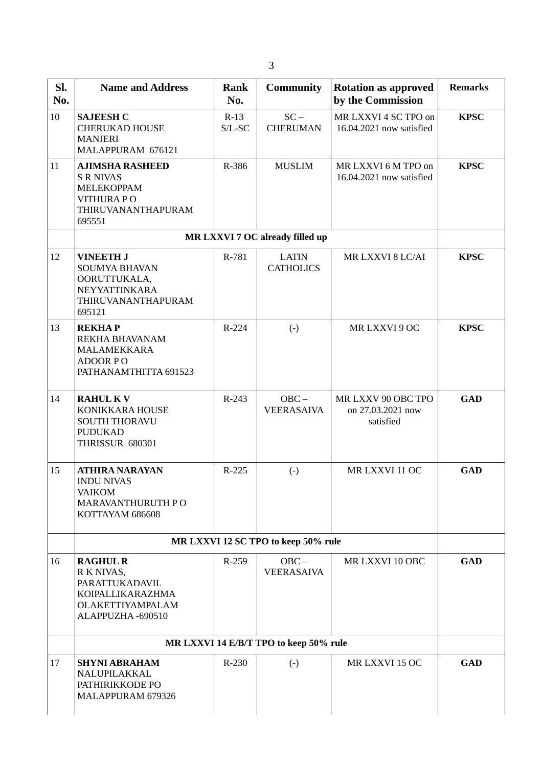| SI.<br>No. | <b>Name and Address</b>                                                                                          | Rank<br>No.         | <b>Community</b>                       | <b>Rotation as approved</b><br>by the Commission     | <b>Remarks</b> |
|------------|------------------------------------------------------------------------------------------------------------------|---------------------|----------------------------------------|------------------------------------------------------|----------------|
| 10         | <b>SAJEESH C</b><br><b>CHERUKAD HOUSE</b><br><b>MANJERI</b><br>MALAPPURAM 676121                                 | $R-13$<br>$S/L$ -SC | $SC -$<br><b>CHERUMAN</b>              | MR LXXVI 4 SC TPO on<br>16.04.2021 now satisfied     | <b>KPSC</b>    |
| 11         | <b>AJIMSHA RASHEED</b><br><b>S R NIVAS</b><br><b>MELEKOPPAM</b><br>VITHURA PO<br>THIRUVANANTHAPURAM<br>695551    | R-386               | <b>MUSLIM</b>                          | MR LXXVI 6 M TPO on<br>16.04.2021 now satisfied      | <b>KPSC</b>    |
|            |                                                                                                                  |                     | MR LXXVI 7 OC already filled up        |                                                      |                |
| 12         | <b>VINEETH J</b><br><b>SOUMYA BHAVAN</b><br>OORUTTUKALA,<br><b>NEYYATTINKARA</b><br>THIRUVANANTHAPURAM<br>695121 | R-781               | <b>LATIN</b><br><b>CATHOLICS</b>       | MR LXXVI 8 LC/AI                                     | <b>KPSC</b>    |
| 13         | <b>REKHAP</b><br>REKHA BHAVANAM<br>MALAMEKKARA<br><b>ADOOR PO</b><br>PATHANAMTHITTA 691523                       | R-224               | $\left( -\right)$                      | MR LXXVI 9 OC                                        | <b>KPSC</b>    |
| 14         | <b>RAHUL KV</b><br>KONIKKARA HOUSE<br><b>SOUTH THORAVU</b><br><b>PUDUKAD</b><br><b>THRISSUR 680301</b>           | $R-243$             | $OBC -$<br><b>VEERASAIVA</b>           | MR LXXV 90 OBC TPO<br>on 27.03.2021 now<br>satisfied | <b>GAD</b>     |
| 15         | <b>ATHIRA NARAYAN</b><br><b>INDU NIVAS</b><br><b>VAIKOM</b><br><b>MARAVANTHURUTH PO</b><br>KOTTAYAM 686608       | R-225               | $(-)$                                  | MR LXXVI 11 OC                                       | <b>GAD</b>     |
|            |                                                                                                                  |                     | MR LXXVI 12 SC TPO to keep 50% rule    |                                                      |                |
| 16         | <b>RAGHUL R</b><br>R K NIVAS,<br>PARATTUKADAVIL<br>KOIPALLIKARAZHMA<br>OLAKETTIYAMPALAM<br>ALAPPUZHA-690510      | R-259               | $OBC -$<br><b>VEERASAIVA</b>           | MR LXXVI 10 OBC                                      | <b>GAD</b>     |
|            |                                                                                                                  |                     | MR LXXVI 14 E/B/T TPO to keep 50% rule |                                                      |                |
| 17         | <b>SHYNI ABRAHAM</b><br>NALUPILAKKAL<br>PATHIRIKKODE PO<br>MALAPPURAM 679326                                     | R-230               | $\left( -\right)$                      | MR LXXVI 15 OC                                       | <b>GAD</b>     |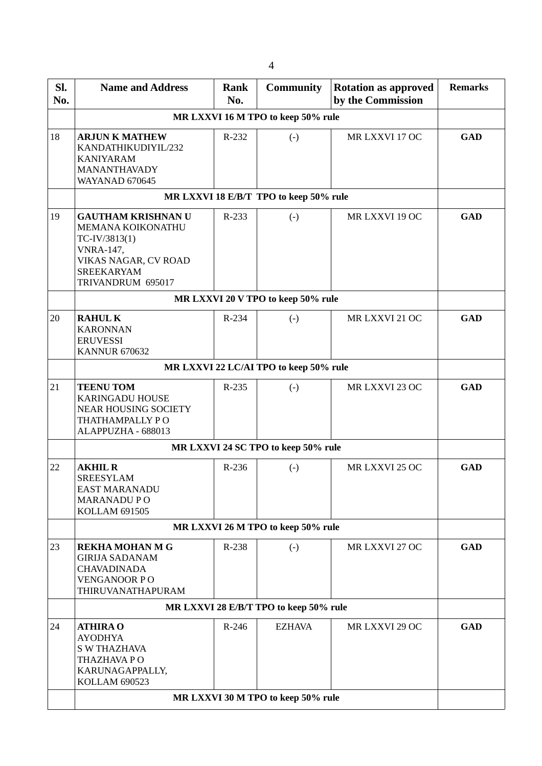| SI.<br>No. | <b>Name and Address</b>                                                                                                                               | Rank<br>No. | <b>Community</b>                       | <b>Rotation as approved</b><br>by the Commission | <b>Remarks</b> |  |
|------------|-------------------------------------------------------------------------------------------------------------------------------------------------------|-------------|----------------------------------------|--------------------------------------------------|----------------|--|
|            |                                                                                                                                                       |             | MR LXXVI 16 M TPO to keep 50% rule     |                                                  |                |  |
| 18         | <b>ARJUN K MATHEW</b><br>KANDATHIKUDIYIL/232<br><b>KANIYARAM</b><br><b>MANANTHAVADY</b><br><b>WAYANAD 670645</b>                                      | R-232       | $\left( -\right)$                      | MR LXXVI 17 OC                                   | <b>GAD</b>     |  |
|            |                                                                                                                                                       |             | MR LXXVI 18 E/B/T TPO to keep 50% rule |                                                  |                |  |
| 19         | <b>GAUTHAM KRISHNAN U</b><br>MEMANA KOIKONATHU<br>TC-IV/3813(1)<br><b>VNRA-147,</b><br>VIKAS NAGAR, CV ROAD<br><b>SREEKARYAM</b><br>TRIVANDRUM 695017 | R-233       | $\left( -\right)$                      | MR LXXVI 19 OC                                   | <b>GAD</b>     |  |
|            |                                                                                                                                                       |             | MR LXXVI 20 V TPO to keep 50% rule     |                                                  |                |  |
| 20         | <b>RAHULK</b><br><b>KARONNAN</b><br><b>ERUVESSI</b><br><b>KANNUR 670632</b>                                                                           | R-234       | $\left( -\right)$                      | MR LXXVI 21 OC                                   | <b>GAD</b>     |  |
|            | MR LXXVI 22 LC/AI TPO to keep 50% rule                                                                                                                |             |                                        |                                                  |                |  |
| 21         | <b>TEENU TOM</b><br><b>KARINGADU HOUSE</b><br><b>NEAR HOUSING SOCIETY</b><br>THATHAMPALLY PO<br>ALAPPUZHA - 688013                                    | R-235       | $(-)$                                  | MR LXXVI 23 OC                                   | <b>GAD</b>     |  |
|            |                                                                                                                                                       |             | MR LXXVI 24 SC TPO to keep 50% rule    |                                                  |                |  |
| 22         | <b>AKHIL R</b><br><b>SREESYLAM</b><br><b>EAST MARANADU</b><br><b>MARANADU PO</b><br>KOLLAM 691505                                                     | R-236       | $\left( \cdot \right)$                 | MR LXXVI 25 OC                                   | <b>GAD</b>     |  |
|            |                                                                                                                                                       |             | MR LXXVI 26 M TPO to keep 50% rule     |                                                  |                |  |
| 23         | <b>REKHA MOHAN M G</b><br><b>GIRIJA SADANAM</b><br><b>CHAVADINADA</b><br><b>VENGANOOR PO</b><br>THIRUVANATHAPURAM                                     | R-238       | $\left( -\right)$                      | MR LXXVI 27 OC                                   | <b>GAD</b>     |  |
|            |                                                                                                                                                       |             | MR LXXVI 28 E/B/T TPO to keep 50% rule |                                                  |                |  |
| 24         | <b>ATHIRA O</b><br><b>AYODHYA</b><br><b>S W THAZHAVA</b><br>THAZHAVA PO<br>KARUNAGAPPALLY,<br><b>KOLLAM 690523</b>                                    | R-246       | <b>EZHAVA</b>                          | MR LXXVI 29 OC                                   | <b>GAD</b>     |  |
|            |                                                                                                                                                       |             | MR LXXVI 30 M TPO to keep 50% rule     |                                                  |                |  |